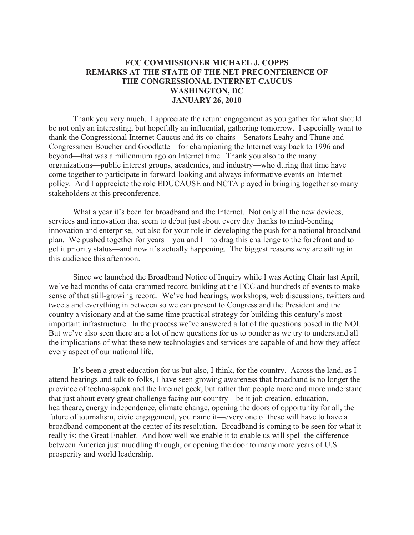## **FCC COMMISSIONER MICHAEL J. COPPS REMARKS AT THE STATE OF THE NET PRECONFERENCE OF THE CONGRESSIONAL INTERNET CAUCUS WASHINGTON, DC JANUARY 26, 2010**

Thank you very much. I appreciate the return engagement as you gather for what should be not only an interesting, but hopefully an influential, gathering tomorrow. I especially want to thank the Congressional Internet Caucus and its co-chairs—Senators Leahy and Thune and Congressmen Boucher and Goodlatte—for championing the Internet way back to 1996 and beyond—that was a millennium ago on Internet time. Thank you also to the many organizations—public interest groups, academics, and industry—who during that time have come together to participate in forward-looking and always-informative events on Internet policy. And I appreciate the role EDUCAUSE and NCTA played in bringing together so many stakeholders at this preconference.

What a year it's been for broadband and the Internet. Not only all the new devices, services and innovation that seem to debut just about every day thanks to mind-bending innovation and enterprise, but also for your role in developing the push for a national broadband plan. We pushed together for years—you and I—to drag this challenge to the forefront and to get it priority status—and now it's actually happening. The biggest reasons why are sitting in this audience this afternoon.

Since we launched the Broadband Notice of Inquiry while I was Acting Chair last April, we've had months of data-crammed record-building at the FCC and hundreds of events to make sense of that still-growing record. We've had hearings, workshops, web discussions, twitters and tweets and everything in between so we can present to Congress and the President and the country a visionary and at the same time practical strategy for building this century's most important infrastructure. In the process we've answered a lot of the questions posed in the NOI. But we've also seen there are a lot of new questions for us to ponder as we try to understand all the implications of what these new technologies and services are capable of and how they affect every aspect of our national life.

It's been a great education for us but also, I think, for the country. Across the land, as I attend hearings and talk to folks, I have seen growing awareness that broadband is no longer the province of techno-speak and the Internet geek, but rather that people more and more understand that just about every great challenge facing our country—be it job creation, education, healthcare, energy independence, climate change, opening the doors of opportunity for all, the future of journalism, civic engagement, you name it—every one of these will have to have a broadband component at the center of its resolution. Broadband is coming to be seen for what it really is: the Great Enabler. And how well we enable it to enable us will spell the difference between America just muddling through, or opening the door to many more years of U.S. prosperity and world leadership.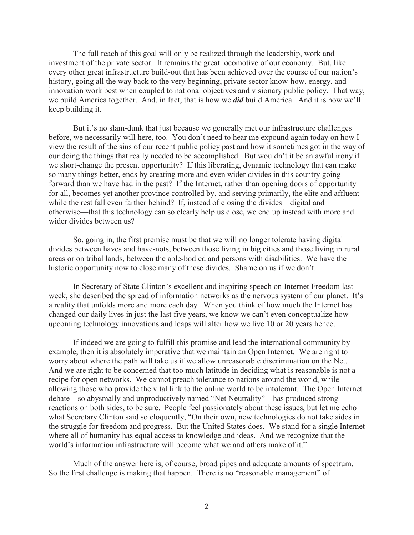The full reach of this goal will only be realized through the leadership, work and investment of the private sector. It remains the great locomotive of our economy. But, like every other great infrastructure build-out that has been achieved over the course of our nation's history, going all the way back to the very beginning, private sector know-how, energy, and innovation work best when coupled to national objectives and visionary public policy. That way, we build America together. And, in fact, that is how we *did* build America. And it is how we'll keep building it.

But it's no slam-dunk that just because we generally met our infrastructure challenges before, we necessarily will here, too. You don't need to hear me expound again today on how I view the result of the sins of our recent public policy past and how it sometimes got in the way of our doing the things that really needed to be accomplished. But wouldn't it be an awful irony if we short-change the present opportunity? If this liberating, dynamic technology that can make so many things better, ends by creating more and even wider divides in this country going forward than we have had in the past? If the Internet, rather than opening doors of opportunity for all, becomes yet another province controlled by, and serving primarily, the elite and affluent while the rest fall even farther behind? If, instead of closing the divides—digital and otherwise—that this technology can so clearly help us close, we end up instead with more and wider divides between us?

So, going in, the first premise must be that we will no longer tolerate having digital divides between haves and have-nots, between those living in big cities and those living in rural areas or on tribal lands, between the able-bodied and persons with disabilities. We have the historic opportunity now to close many of these divides. Shame on us if we don't.

In Secretary of State Clinton's excellent and inspiring speech on Internet Freedom last week, she described the spread of information networks as the nervous system of our planet. It's a reality that unfolds more and more each day. When you think of how much the Internet has changed our daily lives in just the last five years, we know we can't even conceptualize how upcoming technology innovations and leaps will alter how we live 10 or 20 years hence.

If indeed we are going to fulfill this promise and lead the international community by example, then it is absolutely imperative that we maintain an Open Internet. We are right to worry about where the path will take us if we allow unreasonable discrimination on the Net. And we are right to be concerned that too much latitude in deciding what is reasonable is not a recipe for open networks. We cannot preach tolerance to nations around the world, while allowing those who provide the vital link to the online world to be intolerant. The Open Internet debate—so abysmally and unproductively named "Net Neutrality"—has produced strong reactions on both sides, to be sure. People feel passionately about these issues, but let me echo what Secretary Clinton said so eloquently, "On their own, new technologies do not take sides in the struggle for freedom and progress. But the United States does. We stand for a single Internet where all of humanity has equal access to knowledge and ideas. And we recognize that the world's information infrastructure will become what we and others make of it."

Much of the answer here is, of course, broad pipes and adequate amounts of spectrum. So the first challenge is making that happen. There is no "reasonable management" of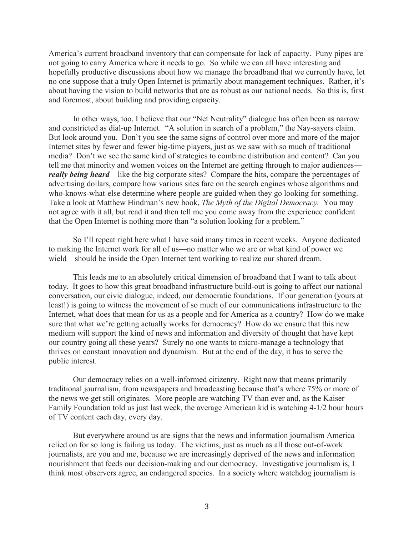America's current broadband inventory that can compensate for lack of capacity. Puny pipes are not going to carry America where it needs to go. So while we can all have interesting and hopefully productive discussions about how we manage the broadband that we currently have, let no one suppose that a truly Open Internet is primarily about management techniques. Rather, it's about having the vision to build networks that are as robust as our national needs. So this is, first and foremost, about building and providing capacity.

In other ways, too, I believe that our "Net Neutrality" dialogue has often been as narrow and constricted as dial-up Internet. "A solution in search of a problem," the Nay-sayers claim. But look around you. Don't you see the same signs of control over more and more of the major Internet sites by fewer and fewer big-time players, just as we saw with so much of traditional media? Don't we see the same kind of strategies to combine distribution and content? Can you tell me that minority and women voices on the Internet are getting through to major audiences *really being heard—like the big corporate sites?* Compare the hits, compare the percentages of advertising dollars, compare how various sites fare on the search engines whose algorithms and who-knows-what-else determine where people are guided when they go looking for something. Take a look at Matthew Hindman's new book, *The Myth of the Digital Democracy.* You may not agree with it all, but read it and then tell me you come away from the experience confident that the Open Internet is nothing more than "a solution looking for a problem."

So I'll repeat right here what I have said many times in recent weeks. Anyone dedicated to making the Internet work for all of us—no matter who we are or what kind of power we wield—should be inside the Open Internet tent working to realize our shared dream.

This leads me to an absolutely critical dimension of broadband that I want to talk about today. It goes to how this great broadband infrastructure build-out is going to affect our national conversation, our civic dialogue, indeed, our democratic foundations. If our generation (yours at least!) is going to witness the movement of so much of our communications infrastructure to the Internet, what does that mean for us as a people and for America as a country? How do we make sure that what we're getting actually works for democracy? How do we ensure that this new medium will support the kind of news and information and diversity of thought that have kept our country going all these years? Surely no one wants to micro-manage a technology that thrives on constant innovation and dynamism. But at the end of the day, it has to serve the public interest.

Our democracy relies on a well-informed citizenry. Right now that means primarily traditional journalism, from newspapers and broadcasting because that's where 75% or more of the news we get still originates. More people are watching TV than ever and, as the Kaiser Family Foundation told us just last week, the average American kid is watching 4-1/2 hour hours of TV content each day, every day.

But everywhere around us are signs that the news and information journalism America relied on for so long is failing us today. The victims, just as much as all those out-of-work journalists, are you and me, because we are increasingly deprived of the news and information nourishment that feeds our decision-making and our democracy. Investigative journalism is, I think most observers agree, an endangered species. In a society where watchdog journalism is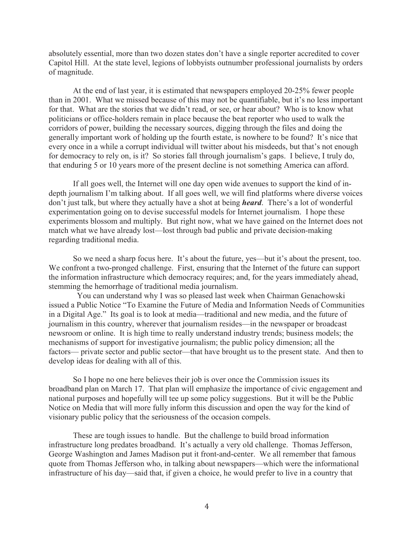absolutely essential, more than two dozen states don't have a single reporter accredited to cover Capitol Hill. At the state level, legions of lobbyists outnumber professional journalists by orders of magnitude.

At the end of last year, it is estimated that newspapers employed 20-25% fewer people than in 2001. What we missed because of this may not be quantifiable, but it's no less important for that. What are the stories that we didn't read, or see, or hear about? Who is to know what politicians or office-holders remain in place because the beat reporter who used to walk the corridors of power, building the necessary sources, digging through the files and doing the generally important work of holding up the fourth estate, is nowhere to be found? It's nice that every once in a while a corrupt individual will twitter about his misdeeds, but that's not enough for democracy to rely on, is it? So stories fall through journalism's gaps. I believe, I truly do, that enduring 5 or 10 years more of the present decline is not something America can afford.

If all goes well, the Internet will one day open wide avenues to support the kind of indepth journalism I'm talking about. If all goes well, we will find platforms where diverse voices don't just talk, but where they actually have a shot at being *heard*. There's a lot of wonderful experimentation going on to devise successful models for Internet journalism. I hope these experiments blossom and multiply. But right now, what we have gained on the Internet does not match what we have already lost—lost through bad public and private decision-making regarding traditional media.

So we need a sharp focus here. It's about the future, yes—but it's about the present, too. We confront a two-pronged challenge. First, ensuring that the Internet of the future can support the information infrastructure which democracy requires; and, for the years immediately ahead, stemming the hemorrhage of traditional media journalism.

You can understand why I was so pleased last week when Chairman Genachowski issued a Public Notice "To Examine the Future of Media and Information Needs of Communities in a Digital Age." Its goal is to look at media—traditional and new media, and the future of journalism in this country, wherever that journalism resides—in the newspaper or broadcast newsroom or online. It is high time to really understand industry trends; business models; the mechanisms of support for investigative journalism; the public policy dimension; all the factors— private sector and public sector—that have brought us to the present state. And then to develop ideas for dealing with all of this.

So I hope no one here believes their job is over once the Commission issues its broadband plan on March 17. That plan will emphasize the importance of civic engagement and national purposes and hopefully will tee up some policy suggestions. But it will be the Public Notice on Media that will more fully inform this discussion and open the way for the kind of visionary public policy that the seriousness of the occasion compels.

These are tough issues to handle. But the challenge to build broad information infrastructure long predates broadband. It's actually a very old challenge. Thomas Jefferson, George Washington and James Madison put it front-and-center. We all remember that famous quote from Thomas Jefferson who, in talking about newspapers—which were the informational infrastructure of his day—said that, if given a choice, he would prefer to live in a country that